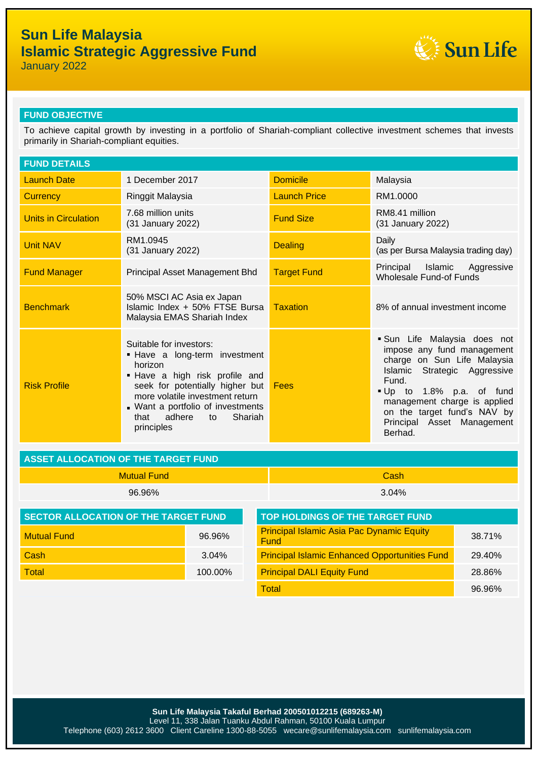# **Sun Life Malaysia Islamic Strategic Aggressive Fund**



January 2022

### **FUND OBJECTIVE**

To achieve capital growth by investing in a portfolio of Shariah-compliant collective investment schemes that invests primarily in Shariah-compliant equities.

| <b>FUND DETAILS</b>         |                                                                                                                                                                                                                                                                   |                     |                                                                                                                                                                                                                                                                     |  |  |
|-----------------------------|-------------------------------------------------------------------------------------------------------------------------------------------------------------------------------------------------------------------------------------------------------------------|---------------------|---------------------------------------------------------------------------------------------------------------------------------------------------------------------------------------------------------------------------------------------------------------------|--|--|
| <b>Launch Date</b>          | 1 December 2017                                                                                                                                                                                                                                                   | <b>Domicile</b>     | Malaysia                                                                                                                                                                                                                                                            |  |  |
| <b>Currency</b>             | Ringgit Malaysia                                                                                                                                                                                                                                                  | <b>Launch Price</b> | RM1.0000                                                                                                                                                                                                                                                            |  |  |
| <b>Units in Circulation</b> | 7.68 million units<br>(31 January 2022)                                                                                                                                                                                                                           | <b>Fund Size</b>    | RM8.41 million<br>(31 January 2022)                                                                                                                                                                                                                                 |  |  |
| <b>Unit NAV</b>             | RM1.0945<br>(31 January 2022)                                                                                                                                                                                                                                     | <b>Dealing</b>      | Daily<br>(as per Bursa Malaysia trading day)                                                                                                                                                                                                                        |  |  |
| <b>Fund Manager</b>         | Principal Asset Management Bhd                                                                                                                                                                                                                                    | <b>Target Fund</b>  | Principal Islamic Aggressive<br><b>Wholesale Fund-of Funds</b>                                                                                                                                                                                                      |  |  |
| <b>Benchmark</b>            | 50% MSCI AC Asia ex Japan<br>Islamic Index + 50% FTSE Bursa<br>Malaysia EMAS Shariah Index                                                                                                                                                                        | <b>Taxation</b>     | 8% of annual investment income                                                                                                                                                                                                                                      |  |  |
| <b>Risk Profile</b>         | Suitable for investors:<br>. Have a long-term investment<br>horizon<br>. Have a high risk profile and<br>seek for potentially higher but<br>more volatile investment return<br>. Want a portfolio of investments<br>Shariah<br>adhere<br>that<br>to<br>principles |                     | Sun Life Malaysia does not<br>impose any fund management<br>charge on Sun Life Malaysia<br>Islamic Strategic Aggressive<br>Fund.<br>Up to 1.8% p.a. of fund<br>management charge is applied<br>on the target fund's NAV by<br>Principal Asset Management<br>Berhad. |  |  |

| <b>LASSET ALLOCATION OF THE TARGET FUND</b> |          |  |  |
|---------------------------------------------|----------|--|--|
| <b>Mutual Fund</b>                          | Cash     |  |  |
| 96.96%                                      | $3.04\%$ |  |  |

| <b>SECTOR ALLOCATION OF THE TARGET FUND</b> |          | <b>TOP HOLDINGS OF THE TARGET FUND</b>                   |        |  |  |
|---------------------------------------------|----------|----------------------------------------------------------|--------|--|--|
| <b>Mutual Fund</b>                          | 96.96%   | <b>Principal Islamic Asia Pac Dynamic Equity</b><br>Fund | 38.71% |  |  |
| Cash                                        | $3.04\%$ | <b>Principal Islamic Enhanced Opportunities Fund</b>     | 29.40% |  |  |
| Total                                       | 100.00%  | <b>Principal DALI Equity Fund</b>                        | 28.86% |  |  |
|                                             |          |                                                          |        |  |  |

| <b>TOP HOLDINGS OF THE TARGET FUND</b>                   |        |
|----------------------------------------------------------|--------|
| <b>Principal Islamic Asia Pac Dynamic Equity</b><br>Fund | 38.71% |
| <b>Principal Islamic Enhanced Opportunities Fund</b>     | 29.40% |
| <b>Principal DALI Equity Fund</b>                        | 28.86% |
| Total                                                    | 96.96% |

**Sun Life Malaysia Takaful Berhad 200501012215 (689263-M)** Level 11, 338 Jalan Tuanku Abdul Rahman, 50100 Kuala Lumpur Telephone (603) 2612 3600 Client Careline 1300-88-5055 wecare@sunlifemalaysia.com sunlifemalaysia.com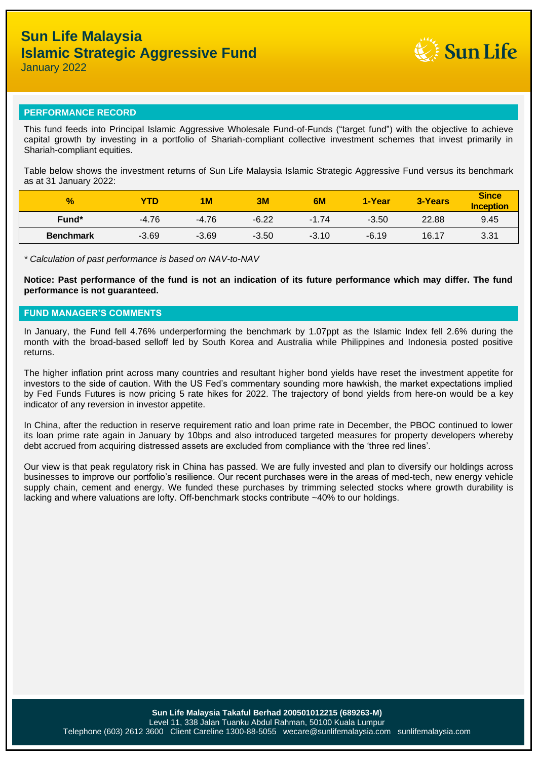

January 2022

#### **PERFORMANCE RECORD**

This fund feeds into Principal Islamic Aggressive Wholesale Fund-of-Funds ("target fund") with the objective to achieve capital growth by investing in a portfolio of Shariah-compliant collective investment schemes that invest primarily in Shariah-compliant equities.

Table below shows the investment returns of Sun Life Malaysia Islamic Strategic Aggressive Fund versus its benchmark as at 31 January 2022:

| $\frac{9}{6}$    | YTD     | 1 <sub>M</sub> | 3M      | 6M      | 1-Year  | 3-Years | <b>Since</b><br><b>Inception</b> |
|------------------|---------|----------------|---------|---------|---------|---------|----------------------------------|
| Fund*            | $-4.76$ | $-4.76$        | $-6.22$ | $-1.74$ | $-3.50$ | 22.88   | 9.45                             |
| <b>Benchmark</b> | $-3.69$ | $-3.69$        | $-3.50$ | $-3.10$ | $-6.19$ | 16.17   | 3.31                             |

*\* Calculation of past performance is based on NAV-to-NAV*

**Notice: Past performance of the fund is not an indication of its future performance which may differ. The fund performance is not guaranteed.**

### **FUND MANAGER'S COMMENTS**

In January, the Fund fell 4.76% underperforming the benchmark by 1.07ppt as the Islamic Index fell 2.6% during the month with the broad-based selloff led by South Korea and Australia while Philippines and Indonesia posted positive returns.

The higher inflation print across many countries and resultant higher bond yields have reset the investment appetite for investors to the side of caution. With the US Fed's commentary sounding more hawkish, the market expectations implied by Fed Funds Futures is now pricing 5 rate hikes for 2022. The trajectory of bond yields from here-on would be a key indicator of any reversion in investor appetite.

In China, after the reduction in reserve requirement ratio and loan prime rate in December, the PBOC continued to lower its loan prime rate again in January by 10bps and also introduced targeted measures for property developers whereby debt accrued from acquiring distressed assets are excluded from compliance with the 'three red lines'.

Our view is that peak regulatory risk in China has passed. We are fully invested and plan to diversify our holdings across businesses to improve our portfolio's resilience. Our recent purchases were in the areas of med-tech, new energy vehicle supply chain, cement and energy. We funded these purchases by trimming selected stocks where growth durability is lacking and where valuations are lofty. Off-benchmark stocks contribute ~40% to our holdings.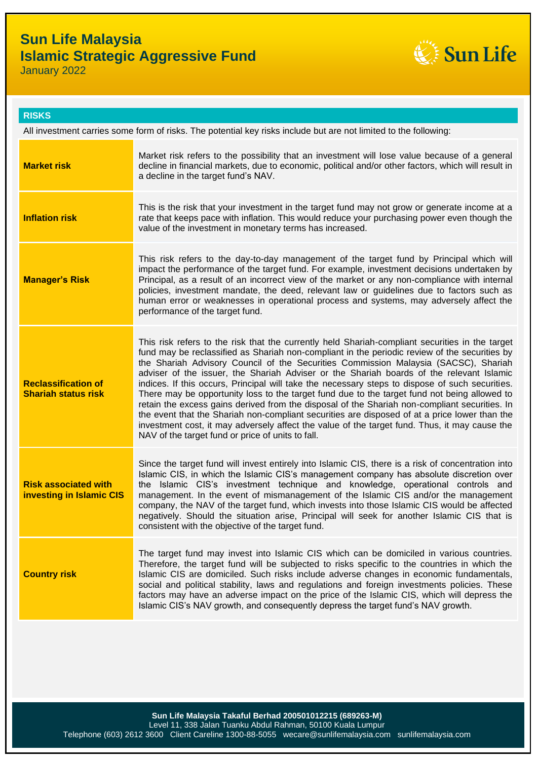# **Sun Life Malaysia Islamic Strategic Aggressive Fund**



January 2022

| <b>RISKS</b>                                                                                                     |                                                                                                                                                                                                                                                                                                                                                                                                                                                                                                                                                                                                                                                                                                                                                                                                                                                                                                                                                |  |  |  |
|------------------------------------------------------------------------------------------------------------------|------------------------------------------------------------------------------------------------------------------------------------------------------------------------------------------------------------------------------------------------------------------------------------------------------------------------------------------------------------------------------------------------------------------------------------------------------------------------------------------------------------------------------------------------------------------------------------------------------------------------------------------------------------------------------------------------------------------------------------------------------------------------------------------------------------------------------------------------------------------------------------------------------------------------------------------------|--|--|--|
| All investment carries some form of risks. The potential key risks include but are not limited to the following: |                                                                                                                                                                                                                                                                                                                                                                                                                                                                                                                                                                                                                                                                                                                                                                                                                                                                                                                                                |  |  |  |
| <b>Market risk</b>                                                                                               | Market risk refers to the possibility that an investment will lose value because of a general<br>decline in financial markets, due to economic, political and/or other factors, which will result in<br>a decline in the target fund's NAV.                                                                                                                                                                                                                                                                                                                                                                                                                                                                                                                                                                                                                                                                                                    |  |  |  |
| <b>Inflation risk</b>                                                                                            | This is the risk that your investment in the target fund may not grow or generate income at a<br>rate that keeps pace with inflation. This would reduce your purchasing power even though the<br>value of the investment in monetary terms has increased.                                                                                                                                                                                                                                                                                                                                                                                                                                                                                                                                                                                                                                                                                      |  |  |  |
| <b>Manager's Risk</b>                                                                                            | This risk refers to the day-to-day management of the target fund by Principal which will<br>impact the performance of the target fund. For example, investment decisions undertaken by<br>Principal, as a result of an incorrect view of the market or any non-compliance with internal<br>policies, investment mandate, the deed, relevant law or guidelines due to factors such as<br>human error or weaknesses in operational process and systems, may adversely affect the<br>performance of the target fund.                                                                                                                                                                                                                                                                                                                                                                                                                              |  |  |  |
| <b>Reclassification of</b><br><b>Shariah status risk</b>                                                         | This risk refers to the risk that the currently held Shariah-compliant securities in the target<br>fund may be reclassified as Shariah non-compliant in the periodic review of the securities by<br>the Shariah Advisory Council of the Securities Commission Malaysia (SACSC), Shariah<br>adviser of the issuer, the Shariah Adviser or the Shariah boards of the relevant Islamic<br>indices. If this occurs, Principal will take the necessary steps to dispose of such securities.<br>There may be opportunity loss to the target fund due to the target fund not being allowed to<br>retain the excess gains derived from the disposal of the Shariah non-compliant securities. In<br>the event that the Shariah non-compliant securities are disposed of at a price lower than the<br>investment cost, it may adversely affect the value of the target fund. Thus, it may cause the<br>NAV of the target fund or price of units to fall. |  |  |  |
| <b>Risk associated with</b><br>investing in Islamic CIS                                                          | Since the target fund will invest entirely into Islamic CIS, there is a risk of concentration into<br>Islamic CIS, in which the Islamic CIS's management company has absolute discretion over<br>the Islamic CIS's investment technique and knowledge, operational controls and<br>management. In the event of mismanagement of the Islamic CIS and/or the management<br>company, the NAV of the target fund, which invests into those Islamic CIS would be affected<br>negatively. Should the situation arise, Principal will seek for another Islamic CIS that is<br>consistent with the objective of the target fund.                                                                                                                                                                                                                                                                                                                       |  |  |  |
| <b>Country risk</b>                                                                                              | The target fund may invest into Islamic CIS which can be domiciled in various countries.<br>Therefore, the target fund will be subjected to risks specific to the countries in which the<br>Islamic CIS are domiciled. Such risks include adverse changes in economic fundamentals,<br>social and political stability, laws and regulations and foreign investments policies. These<br>factors may have an adverse impact on the price of the Islamic CIS, which will depress the<br>Islamic CIS's NAV growth, and consequently depress the target fund's NAV growth.                                                                                                                                                                                                                                                                                                                                                                          |  |  |  |